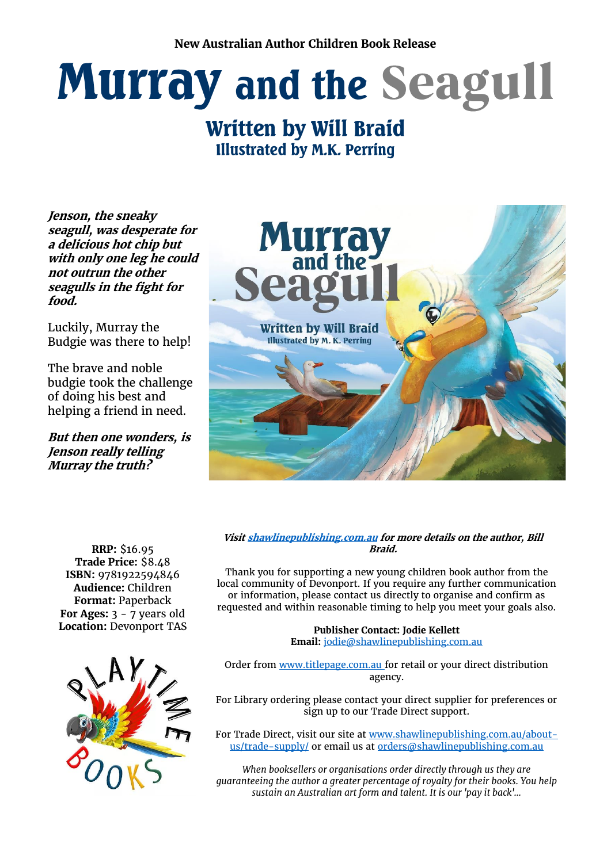### **New Australian Author Children Book Release**

# Murray and the Seagull

## Written by Will Braid **Illustrated by M.K. Perring**

**Jenson, the sneaky seagull, was desperate for a delicious hot chip but with only one leg he could not outrun the other seagulls in the fight for food.**

Luckily, Murray the Budgie was there to help!

The brave and noble budgie took the challenge of doing his best and helping a friend in need.

**But then one wonders, is Jenson really telling Murray the truth?**



#### **Visi[t shawlinepublishing.com.au](https://www.shawlinepublishing.com.au/our-titles/childrens-books/display/115-murray-and-the-seagull) for more details on the author, Bill Braid.**

Thank you for supporting a new young children book author from the local community of Devonport. If you require any further communication or information, please contact us directly to organise and confirm as requested and within reasonable timing to help you meet your goals also.

> **Publisher Contact: Jodie Kellett Email:** [jodie@shawlinepublishing.com.au](mailto:jodie@shawlinepublishing.com.au)

Order from [www.titlepage.com.au](http://www.titlepage.com.au/) for retail or your direct distribution agency.

For Library ordering please contact your direct supplier for preferences or sign up to our Trade Direct support.

For Trade Direct, visit our site at [www.shawlinepublishing.com.au/about](http://www.shawlinepublishing.com.au/about-us/trade-supply/)[us/trade-supply/](http://www.shawlinepublishing.com.au/about-us/trade-supply/) or email us at [orders@shawlinepublishing.com.au](mailto:orders@shawlinepublishing.com.au)

*When booksellers or organisations order directly through us they are guaranteeing the author a greater percentage of royalty for their books. You help sustain an Australian art form and talent. It is our 'pay it back'...*

**RRP:** \$16.95 **Trade Price:** \$8.48 **ISBN:** 9781922594846 **Audience:** Children **Format:** Paperback **For Ages:** 3 - 7 years old **Location:** Devonport TAS